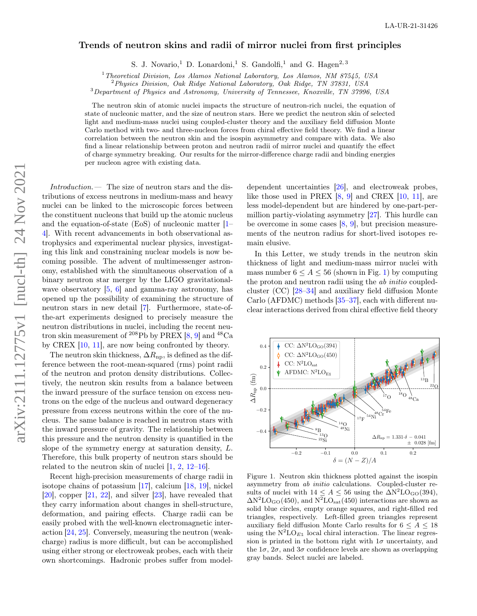## Trends of neutron skins and radii of mirror nuclei from first principles

S. J. Novario,<sup>1</sup> D. Lonardoni,<sup>1</sup> S. Gandolfi,<sup>1</sup> and G. Hagen<sup>2,3</sup>

<sup>1</sup>Theoretical Division, Los Alamos National Laboratory, Los Alamos, NM 87545, USA

<sup>2</sup>Physics Division, Oak Ridge National Laboratory, Oak Ridge, TN 37831, USA

<sup>3</sup>Department of Physics and Astronomy, University of Tennessee, Knoxville, TN 37996, USA

The neutron skin of atomic nuclei impacts the structure of neutron-rich nuclei, the equation of state of nucleonic matter, and the size of neutron stars. Here we predict the neutron skin of selected light and medium-mass nuclei using coupled-cluster theory and the auxiliary field diffusion Monte Carlo method with two- and three-nucleon forces from chiral effective field theory. We find a linear correlation between the neutron skin and the isospin asymmetry and compare with data. We also find a linear relationship between proton and neutron radii of mirror nuclei and quantify the effect of charge symmetry breaking. Our results for the mirror-difference charge radii and binding energies per nucleon agree with existing data.

Introduction.— The size of neutron stars and the distributions of excess neutrons in medium-mass and heavy nuclei can be linked to the microscopic forces between the constituent nucleons that build up the atomic nucleus and the equation-of-state (EoS) of nucleonic matter [\[1–](#page-4-0) [4\]](#page-4-1). With recent advancements in both observational astrophysics and experimental nuclear physics, investigating this link and constraining nuclear models is now becoming possible. The advent of multimessenger astronomy, established with the simultaneous observation of a binary neutron star merger by the LIGO gravitationalwave observatory  $[5, 6]$  $[5, 6]$  $[5, 6]$  and gamma-ray astronomy, has opened up the possibility of examining the structure of neutron stars in new detail [\[7\]](#page-4-4). Furthermore, state-ofthe-art experiments designed to precisely measure the neutron distributions in nuclei, including the recent neutron skin measurement of  $^{208}\text{Pb}$  by PREX [\[8,](#page-4-5) [9\]](#page-4-6) and  $^{48}\text{Ca}$ by CREX  $[10, 11]$  $[10, 11]$  $[10, 11]$ , are now being confronted by theory.

The neutron skin thickness,  $\Delta R_{\text{np}}$ , is defined as the difference between the root-mean-squared (rms) point radii of the neutron and proton density distributions. Collectively, the neutron skin results from a balance between the inward pressure of the surface tension on excess neutrons on the edge of the nucleus and outward degeneracy pressure from excess neutrons within the core of the nucleus. The same balance is reached in neutron stars with the inward pressure of gravity. The relationship between this pressure and the neutron density is quantified in the slope of the symmetry energy at saturation density, L. Therefore, this bulk property of neutron stars should be related to the neutron skin of nuclei  $[1, 2, 12-16]$  $[1, 2, 12-16]$  $[1, 2, 12-16]$  $[1, 2, 12-16]$  $[1, 2, 12-16]$ .

Recent high-precision measurements of charge radii in isotope chains of potassium [\[17\]](#page-4-12), calcium [\[18,](#page-4-13) [19\]](#page-4-14), nickel [\[20\]](#page-5-0), copper [\[21,](#page-5-1) [22\]](#page-5-2), and silver [\[23\]](#page-5-3), have revealed that they carry information about changes in shell-structure, deformation, and pairing effects. Charge radii can be easily probed with the well-known electromagnetic interaction [\[24,](#page-5-4) [25\]](#page-5-5). Conversely, measuring the neutron (weakcharge) radius is more difficult, but can be accomplished using either strong or electroweak probes, each with their own shortcomings. Hadronic probes suffer from model-

dependent uncertainties [\[26\]](#page-5-6), and electroweak probes, like those used in PREX  $[8, 9]$  $[8, 9]$  $[8, 9]$  and CREX  $[10, 11]$  $[10, 11]$  $[10, 11]$ , are less model-dependent but are hindered by one-part-permillion partiy-violating asymmetry [\[27\]](#page-5-7). This hurdle can be overcome in some cases  $[8, 9]$  $[8, 9]$  $[8, 9]$ , but precision measurements of the neutron radius for short-lived isotopes remain elusive.

In this Letter, we study trends in the neutron skin thickness of light and medium-mass mirror nuclei with mass number  $6 \leq A \leq 56$  (shown in Fig. [1\)](#page-0-0) by computing the proton and neutron radii using the *ab initio* coupledcluster (CC) [\[28](#page-5-8)[–34\]](#page-5-9) and auxiliary field diffusion Monte Carlo (AFDMC) methods [\[35](#page-5-10)[–37\]](#page-5-11), each with different nuclear interactions derived from chiral effective field theory



<span id="page-0-0"></span>Figure 1. Neutron skin thickness plotted against the isospin asymmetry from ab initio calculations. Coupled-cluster results of nuclei with  $14 \leq A \leq 56$  using the  $\Delta N^2LO_{\text{GO}}(394)$ ,  $\Delta N^2LO_{\text{GO}}(450)$ , and  $N^2LO_{\text{sat}}(450)$  interactions are shown as solid blue circles, empty orange squares, and right-filled red triangles, respectively. Left-filled green triangles represent auxiliary field diffusion Monte Carlo results for  $6 \leq A \leq 18$ using the  $N^2LO_{E1}$  local chiral interaction. The linear regression is printed in the bottom right with  $1\sigma$  uncertainty, and the  $1\sigma$ ,  $2\sigma$ , and  $3\sigma$  confidence levels are shown as overlapping gray bands. Select nuclei are labeled.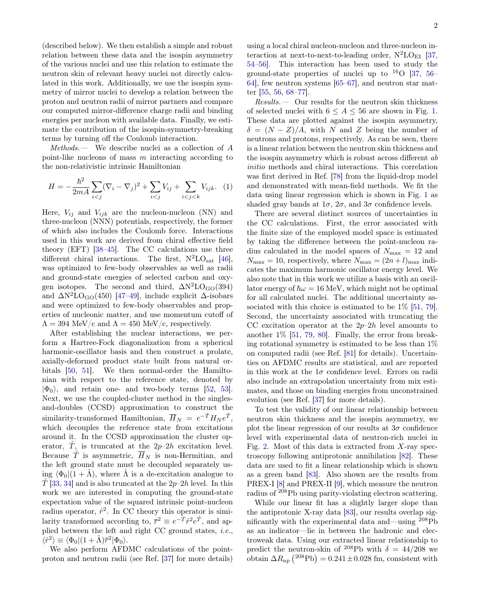(described below). We then establish a simple and robust relation between these data and the isospin asymmetry of the various nuclei and use this relation to estimate the neutron skin of relevant heavy nuclei not directly calculated in this work. Additionally, we use the isospin symmetry of mirror nuclei to develop a relation between the proton and neutron radii of mirror partners and compare our computed mirror-difference charge radii and binding energies per nucleon with available data. Finally, we estimate the contribution of the isospin-symmetry-breaking terms by turning off the Coulomb interaction.

Methods.— We describe nuclei as a collection of A point-like nucleons of mass  $m$  interacting according to the non-relativistic intrinsic Hamiltonian

$$
H = -\frac{\hbar^2}{2mA} \sum_{i < j} (\nabla_i - \nabla_j)^2 + \sum_{i < j} V_{ij} + \sum_{i < j < k} V_{ijk}. \tag{1}
$$

Here,  $V_{ij}$  and  $V_{ijk}$  are the nucleon-nucleon (NN) and three-nucleon (NNN) potentials, respectively, the former of which also includes the Coulomb force. Interactions used in this work are derived from chiral effective field theory (EFT) [\[38](#page-5-12)[–45\]](#page-5-13). The CC calculations use three different chiral interactions. The first,  $N^2LO_{sat}$  [\[46\]](#page-5-14), was optimized to few-body observables as well as radii and ground-state energies of selected carbon and oxygen isotopes. The second and third,  $\Delta N^2LO_{GO}(394)$ and  $\Delta N^2LO_{GO}(450)$  [\[47](#page-5-15)[–49\]](#page-5-16), include explicit  $\Delta$ -isobars and were optimized to few-body observables and properties of nucleonic matter, and use momentum cutoff of  $\Lambda = 394$  MeV/c and  $\Lambda = 450$  MeV/c, respectively.

After establishing the nuclear interactions, we perform a Hartree-Fock diagonalization from a spherical harmonic-oscillator basis and then construct a prolate, axially-deformed product state built from natural orbitals [\[50,](#page-6-0) [51\]](#page-6-1). We then normal-order the Hamiltonian with respect to the reference state, denoted by  $|\Phi_0\rangle$ , and retain one- and two-body terms [\[52,](#page-6-2) [53\]](#page-6-3). Next, we use the coupled-cluster method in the singlesand-doubles (CCSD) approximation to construct the similarity-transformed Hamiltonian,  $\overline{H}_N = e^{-\hat{T}} H_N e^{\hat{T}},$ which decouples the reference state from excitations around it. In the CCSD approximation the cluster operator,  $\hat{T}$ , is truncated at the  $2p-2h$  excitation level. Because  $\hat{T}$  is asymmetric,  $\overline{H}_N$  is non-Hermitian, and the left ground state must be decoupled separately using  $\langle \Phi_0|(1 + \Lambda)$ , where  $\Lambda$  is a de-excitation analogue to  $\hat{T}$  [\[33,](#page-5-17) [34\]](#page-5-9) and is also truncated at the 2p–2h level. In this work we are interested in computing the ground-state expectation value of the squared intrinsic point-nucleon radius operator,  $\hat{r}^2$ . In CC theory this operator is similarity transformed according to,  $\bar{r}^2 \equiv e^{-\hat{T}} \hat{r}^2 e^{\hat{T}}$ , and applied between the left and right CC ground states, i.e.,  $\langle \hat{r}^2 \rangle \equiv \langle \Phi_0 | (1 + \hat{\Lambda}) \overline{r}^2 | \Phi_0 \rangle.$ 

We also perform AFDMC calculations of the pointproton and neutron radii (see Ref. [\[37\]](#page-5-11) for more details) using a local chiral nucleon-nucleon and three-nucleon interaction at next-to-next-to-leading order,  $N^2LO_{E1}$  [\[37,](#page-5-11) [54–](#page-6-4)[56\]](#page-6-5). This interaction has been used to study the ground-state properties of nuclei up to  $^{16}$ O [\[37,](#page-5-11) [56–](#page-6-5) [64\]](#page-6-6), few neutron systems [\[65–](#page-6-7)[67\]](#page-6-8), and neutron star matter [\[55,](#page-6-9) [56,](#page-6-5) [68](#page-6-10)[–77\]](#page-6-11).

Results.— Our results for the neutron skin thickness of selected nuclei with  $6 \leq A \leq 56$  are shown in Fig. [1.](#page-0-0) These data are plotted against the isospin asymmetry,  $\delta = (N - Z)/A$ , with N and Z being the number of neutrons and protons, respectively. As can be seen, there is a linear relation between the neutron skin thickness and the isospin asymmetry which is robust across different ab initio methods and chiral interactions. This correlation was first derived in Ref. [\[78\]](#page-6-12) from the liquid-drop model and demonstrated with mean-field methods. We fit the data using linear regression which is shown in Fig. [1](#page-0-0) as shaded gray bands at  $1\sigma$ ,  $2\sigma$ , and  $3\sigma$  confidence levels.

There are several distinct sources of uncertainties in the CC calculations. First, the error associated with the finite size of the employed model space is estimated by taking the difference between the point-nucleon radius calculated in the model spaces of  $N_{\text{max}} = 12$  and  $N_{\text{max}} = 10$ , respectively, where  $N_{\text{max}} = (2n + l)_{\text{max}}$  indicates the maximum harmonic oscillator energy level. We also note that in this work we utilize a basis with an oscillator energy of  $\hbar \omega = 16$  MeV, which might not be optimal for all calculated nuclei. The additional uncertainty associated with this choice is estimated to be  $1\%$  [\[51,](#page-6-1) [79\]](#page-6-13). Second, the uncertainty associated with truncating the CC excitation operator at the  $2p-2h$  level amounts to another 1% [\[51,](#page-6-1) [79,](#page-6-13) [80\]](#page-6-14). Finally, the error from breaking rotational symmetry is estimated to be less than 1% on computed radii (see Ref. [\[81\]](#page-6-15) for details). Uncertainties on AFDMC results are statistical, and are reported in this work at the  $1\sigma$  confidence level. Errors on radii also include an extrapolation uncertainty from mix estimates, and those on binding energies from unconstrained evolution (see Ref. [\[37\]](#page-5-11) for more details).

To test the validity of our linear relationship between neutron skin thickness and the isospin asymmetry, we plot the linear regression of our results at  $3\sigma$  confidence level with experimental data of neutron-rich nuclei in Fig. [2.](#page-2-0) Most of this data is extracted from X-ray spectroscopy following antiprotonic annihilation [\[82\]](#page-6-16). These data are used to fit a linear relationship which is shown as a green band [\[83\]](#page-7-0). Also shown are the results from PREX-I [\[8\]](#page-4-5) and PREX-II [\[9\]](#page-4-6), which measure the neutron radius of <sup>208</sup>Pb using parity-violating electron scattering.

While our linear fit has a slightly larger slope than the antiprotonic X-ray data [\[83\]](#page-7-0), our results overlap significantly with the experimental data and—using <sup>208</sup>Pb as an indicator—lie in between the hadronic and electroweak data. Using our extracted linear relationship to predict the neutron-skin of <sup>208</sup>Pb with  $\delta = 44/208$  we obtain  $\Delta R_{\text{np}}$  (<sup>208</sup>Pb) = 0.241 ± 0.028 fm, consistent with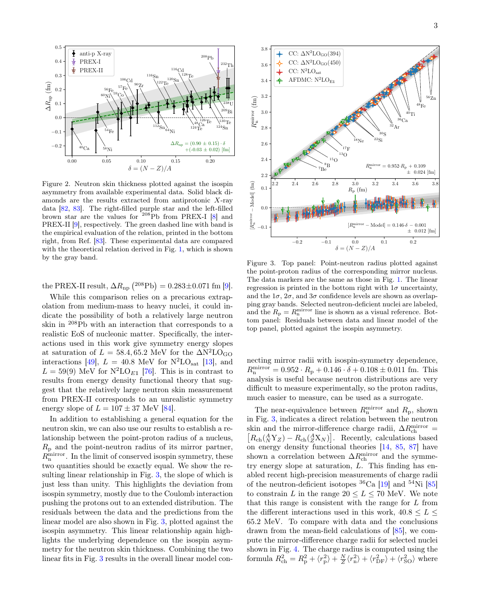

<span id="page-2-0"></span>Figure 2. Neutron skin thickness plotted against the isospin asymmetry from available experimental data. Solid black diamonds are the results extracted from antiprotonic  $X$ -ray data [\[82,](#page-6-16) [83\]](#page-7-0). The right-filled purple star and the left-filled brown star are the values for  $208Pb$  from PREX-I [\[8\]](#page-4-5) and PREX-II [\[9\]](#page-4-6), respectively. The green dashed line with band is the empirical evaluation of the relation, printed in the bottom right, from Ref. [\[83\]](#page-7-0). These experimental data are compared with the theoretical relation derived in Fig. [1,](#page-0-0) which is shown by the gray band.

the PREX-II result,  $\Delta R_{\text{np}}$  (<sup>208</sup>Pb) = 0.283±0.071 fm [\[9\]](#page-4-6).

While this comparison relies on a precarious extrapolation from medium-mass to heavy nuclei, it could indicate the possibility of both a relatively large neutron skin in <sup>208</sup>Pb with an interaction that corresponds to a realistic EoS of nucleonic matter. Specifically, the interactions used in this work give symmetry energy slopes at saturation of  $L = 58.4, 65.2$  MeV for the  $\Delta N^2LO_{GO}$ interactions [\[49\]](#page-5-16),  $L = 40.8$  MeV for  $N^2LO_{sat}$  [\[13\]](#page-4-15), and  $L = 59(9)$  MeV for  $N^2LO_{E1}$  [\[76\]](#page-6-17). This is in contrast to results from energy density functional theory that suggest that the relatively large neutron skin measurement from PREX-II corresponds to an unrealistic symmetry energy slope of  $L = 107 \pm 37$  MeV [\[84\]](#page-7-1).

In addition to establishing a general equation for the neutron skin, we can also use our results to establish a relationship between the point-proton radius of a nucleus,  $R_{\rm p}$  and the point-neutron radius of its mirror partner,  $R_{\rm n}^{\rm mirror}$ . In the limit of conserved isospin symmetry, these two quantities should be exactly equal. We show the resulting linear relationship in Fig. [3,](#page-2-1) the slope of which is just less than unity. This highlights the deviation from isospin symmetry, mostly due to the Coulomb interaction pushing the protons out to an extended distribution. The residuals between the data and the predictions from the linear model are also shown in Fig. [3,](#page-2-1) plotted against the isospin asymmetry. This linear relationship again highlights the underlying dependence on the isospin asymmetry for the neutron skin thickness. Combining the two linear fits in Fig. [3](#page-2-1) results in the overall linear model con-



<span id="page-2-1"></span>Figure 3. Top panel: Point-neutron radius plotted against the point-proton radius of the corresponding mirror nucleus. The data markers are the same as those in Fig. [1.](#page-0-0) The linear regression is printed in the bottom right with  $1\sigma$  uncertainty, and the  $1\sigma$ ,  $2\sigma$ , and  $3\sigma$  confidence levels are shown as overlapping gray bands. Selected neutron-deficient nuclei are labeled, and the  $R_{\rm p} = R_{\rm n}^{\rm mirror}$  line is shown as a visual reference. Bottom panel: Residuals between data and linear model of the top panel, plotted against the isospin asymmetry.

necting mirror radii with isospin-symmetry dependence,  $R_{\rm n}^{\rm mirror} = 0.952 \cdot R_{\rm p} + 0.146 \cdot \delta + 0.108 \pm 0.011 \text{ fm}.$  This analysis is useful because neutron distributions are very difficult to measure experimentally, so the proton radius, much easier to measure, can be used as a surrogate.

The near-equivalence between  $R_{\rm n}^{\rm mirror}$  and  $R_{\rm p}$ , shown in Fig. [3,](#page-2-1) indicates a direct relation between the neutron skin and the mirror-difference charge radii,  $\Delta R_{\text{ch}}^{\text{mirror}} =$ skin and the mirror-difference charge radii,  $\Delta R_{\rm ch}^{\rm mirror} =$ <br> $[R_{\rm ch}({}^A_A Y_Z) - R_{\rm ch}({}^A_Z X_N)]$ . Recently, calculations based  $R_{\rm ch}({}^A_N Y_Z) - R_{\rm ch}({}^A_Z X_N)$ . Recently, calculations based on energy density functional theories [\[14,](#page-4-16) [85,](#page-7-2) [87\]](#page-7-3) have shown a correlation between  $\Delta R_{\rm ch}^{\rm mirror}$  and the symmetry energy slope at saturation, L. This finding has enabled recent high-precision measurements of charge radii of the neutron-deficient isotopes  ${}^{36}$ Ca [\[19\]](#page-4-14) and  ${}^{54}$ Ni [\[85\]](#page-7-2) to constrain L in the range  $20 \le L \le 70$  MeV. We note that this range is consistent with the range for L from the different interactions used in this work,  $40.8 \leq L \leq$ 65.2 MeV. To compare with data and the conclusions drawn from the mean-field calculations of [\[85\]](#page-7-2), we compute the mirror-difference charge radii for selected nuclei shown in Fig. [4.](#page-3-0) The charge radius is computed using the formula  $R_{ch}^2 = R_p^2 + \langle r_p^2 \rangle + \frac{N}{Z} \langle r_n^2 \rangle + \langle r_{DF}^2 \rangle + \langle r_{SO}^2 \rangle$  where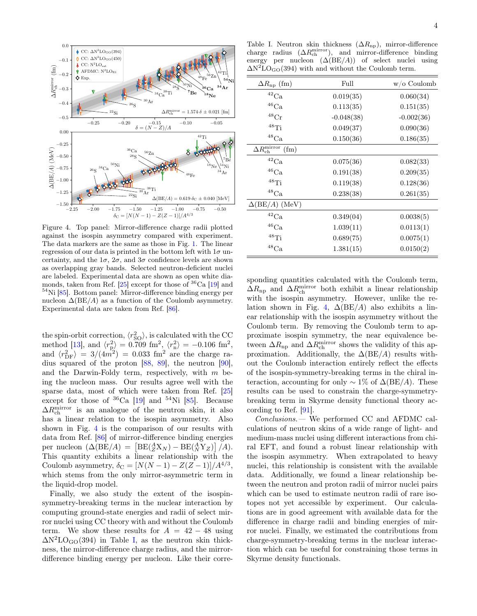

<span id="page-3-0"></span>Figure 4. Top panel: Mirror-difference charge radii plotted against the isospin asymmetry compared with experiment. The data markers are the same as those in Fig. [1.](#page-0-0) The linear regression of our data is printed in the bottom left with  $1\sigma$  uncertainty, and the  $1\sigma$ ,  $2\sigma$ , and  $3\sigma$  confidence levels are shown as overlapping gray bands. Selected neutron-deficient nuclei are labeled. Experimental data are shown as open white dia-monds, taken from Ref. [\[25\]](#page-5-5) except for those of  ${}^{36}Ca$  [\[19\]](#page-4-14) and <sup>54</sup>Ni [\[85\]](#page-7-2). Bottom panel: Mirror-difference binding energy per nucleon  $\Delta$ (BE/A) as a function of the Coulomb asymmetry. Experimental data are taken from Ref. [\[86\]](#page-7-4).

the spin-orbit correction,  $\langle r_{\rm SO}^2 \rangle$ , is calculated with the CC method [\[13\]](#page-4-15), and  $\langle r_{\rm p}^2 \rangle = 0.709 \text{ fm}^2$ ,  $\langle r_{\rm n}^2 \rangle = -0.106 \text{ fm}^2$ , and  $\langle r_{\rm DF}^2 \rangle = 3/(4m^2) = 0.033$  fm<sup>2</sup> are the charge radius squared of the proton [\[88,](#page-7-5) [89\]](#page-7-6), the neutron [\[90\]](#page-7-7), and the Darwin-Foldy term, respectively, with  $m$  being the nucleon mass. Our results agree well with the sparse data, most of which were taken from Ref. [\[25\]](#page-5-5) except for those of  ${}^{36}Ca$  [\[19\]](#page-4-14) and  ${}^{54}Ni$  [\[85\]](#page-7-2). Because  $\Delta R_{\rm ch}^{\rm mirror}$  is an analogue of the neutron skin, it also has a linear relation to the isospin asymmetry. Also shown in Fig. [4](#page-3-0) is the comparison of our results with data from Ref. [\[86\]](#page-7-4) of mirror-difference binding energies per nucleon  $(\Delta (BE/A) = [BE(\frac{A}{Z}X_N) - BE(\frac{A}{N}Y_Z)]/A$ . This quantity exhibits a linear relationship with the Coulomb asymmetry,  $\delta_C = [N(N-1) - Z(Z-1)]/A^{4/3}$ , which stems from the only mirror-asymmetric term in the liquid-drop model.

Finally, we also study the extent of the isospinsymmetry-breaking terms in the nuclear interaction by computing ground-state energies and radii of select mirror nuclei using CC theory with and without the Coulomb term. We show these results for  $A = 42 - 48$  using  $\Delta N^2LO_{GO}(394)$  in Table [I,](#page-3-1) as the neutron skin thickness, the mirror-difference charge radius, and the mirrordifference binding energy per nucleon. Like their corre-

<span id="page-3-1"></span>Table I. Neutron skin thickness  $(\Delta R_{np})$ , mirror-difference charge radius  $(\Delta R_{ch}^{\text{mirror}})$ , and mirror-difference binding energy per nucleon  $(\Delta (BE/A))$  of select nuclei using  $\Delta N^2$ LO<sub>GO</sub>(394) with and without the Coulomb term.

| $\Delta R_{\rm np}$ (fm)              | Full         | $w/\mathrm{o}$ Coulomb |
|---------------------------------------|--------------|------------------------|
| $\rm ^{42}Ca$                         | 0.019(35)    | 0.060(34)              |
| ${}^{46}\mathrm{Ca}$                  | 0.113(35)    | 0.151(35)              |
| ${}^{48}\mathrm{Cr}$                  | $-0.048(38)$ | $-0.002(36)$           |
| $48$ Ti                               | 0.049(37)    | 0.090(36)              |
| $^{48}\mathrm{Ca}$                    | 0.150(36)    | 0.186(35)              |
| $\Delta R_{\rm ch}^{\rm mirror}$ (fm) |              |                        |
| $\rm ^{42}Ca$                         | 0.075(36)    | 0.082(33)              |
| $^{46}\mathrm{Ca}$                    | 0.191(38)    | 0.209(35)              |
| $48$ Ti                               | 0.119(38)    | 0.128(36)              |
| $^{48}\mathrm{Ca}$                    | 0.238(38)    | 0.261(35)              |
| $\Delta(\text{BE}/A)$ (MeV)           |              |                        |
| $^{42}\mathrm{Ca}$                    | 0.349(04)    | 0.0038(5)              |
| $^{46}\mathrm{Ca}$                    | 1.039(11)    | 0.0113(1)              |
| $48$ Ti                               | 0.689(75)    | 0.0075(1)              |
| $^{48}\mathrm{Ca}$                    | 1.381(15)    | 0.0150(2)              |

sponding quantities calculated with the Coulomb term,  $\Delta R_{\rm np}$  and  $\Delta R_{\rm ch}^{\rm mirror}$  both exhibit a linear relationship with the isospin asymmetry. However, unlike the re-lation shown in Fig. [4,](#page-3-0)  $\Delta(BE/A)$  also exhibits a linear relationship with the isospin asymmetry without the Coulomb term. By removing the Coulomb term to approximate isospin symmetry, the near equivalence between  $\Delta R_{\rm np}$  and  $\Delta R_{\rm ch}^{\rm mirror}$  shows the validity of this approximation. Additionally, the  $\Delta$ (BE/A) results without the Coulomb interaction entirely reflect the effects of the isospin-symmetry-breaking terms in the chiral interaction, accounting for only  $\sim 1\%$  of  $\Delta$ (BE/A). These results can be used to constrain the charge-symmetrybreaking term in Skyrme density functional theory according to Ref. [\[91\]](#page-7-8).

Conclusions.— We performed CC and AFDMC calculations of neutron skins of a wide range of light- and medium-mass nuclei using different interactions from chiral EFT, and found a robust linear relationship with the isospin asymmetry. When extrapolated to heavy nuclei, this relationship is consistent with the available data. Additionally, we found a linear relationship between the neutron and proton radii of mirror nuclei pairs which can be used to estimate neutron radii of rare isotopes not yet accessible by experiment. Our calculations are in good agreement with available data for the difference in charge radii and binding energies of mirror nuclei. Finally, we estimated the contributions from charge-symmetry-breaking terms in the nuclear interaction which can be useful for constraining those terms in Skyrme density functionals.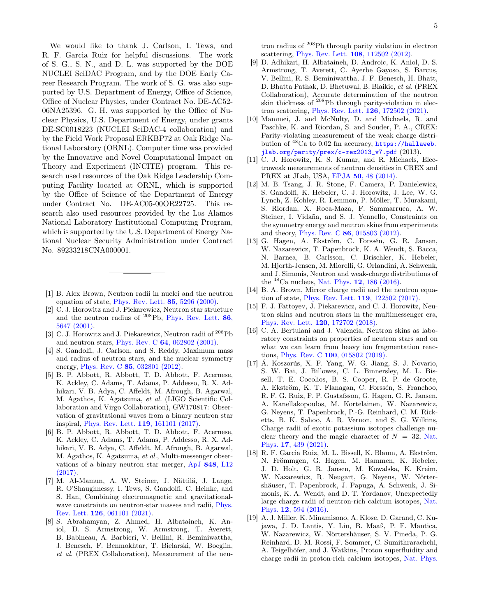We would like to thank J. Carlson, I. Tews, and R. F. Garcia Ruiz for helpful discussions. The work of S. G., S. N., and D. L. was supported by the DOE NUCLEI SciDAC Program, and by the DOE Early Career Research Program. The work of S. G. was also supported by U.S. Department of Energy, Office of Science, Office of Nuclear Physics, under Contract No. DE-AC52- 06NA25396. G. H. was supported by the Office of Nuclear Physics, U.S. Department of Energy, under grants DE-SC0018223 (NUCLEI SciDAC-4 collaboration) and by the Field Work Proposal ERKBP72 at Oak Ridge National Laboratory (ORNL). Computer time was provided by the Innovative and Novel Computational Impact on Theory and Experiment (INCITE) program. This research used resources of the Oak Ridge Leadership Computing Facility located at ORNL, which is supported by the Office of Science of the Department of Energy under Contract No. DE-AC05-00OR22725. This research also used resources provided by the Los Alamos National Laboratory Institutional Computing Program, which is supported by the U.S. Department of Energy National Nuclear Security Administration under Contract No. 89233218CNA000001.

- <span id="page-4-0"></span>[1] B. Alex Brown, Neutron radii in nuclei and the neutron equation of state, [Phys. Rev. Lett.](https://doi.org/10.1103/PhysRevLett.85.5296) 85, 5296 (2000).
- <span id="page-4-9"></span>[2] C. J. Horowitz and J. Piekarewicz, Neutron star structure and the neutron radius of  $^{208}\text{Pb}$ , [Phys. Rev. Lett.](https://doi.org/10.1103/PhysRevLett.86.5647) 86, [5647 \(2001\).](https://doi.org/10.1103/PhysRevLett.86.5647)
- [3] C. J. Horowitz and J. Piekarewicz, Neutron radii of <sup>208</sup>Pb and neutron stars, Phys. Rev. C 64[, 062802 \(2001\).](https://doi.org/10.1103/PhysRevC.64.062802)
- <span id="page-4-1"></span>[4] S. Gandolfi, J. Carlson, and S. Reddy, Maximum mass and radius of neutron stars, and the nuclear symmetry energy, Phys. Rev. C 85[, 032801 \(2012\).](https://doi.org/10.1103/PhysRevC.85.032801)
- <span id="page-4-2"></span>[5] B. P. Abbott, R. Abbott, T. D. Abbott, F. Acernese, K. Ackley, C. Adams, T. Adams, P. Addesso, R. X. Adhikari, V. B. Adya, C. Affeldt, M. Afrough, B. Agarwal, M. Agathos, K. Agatsuma, et al. (LIGO Scientific Collaboration and Virgo Collaboration), GW170817: Observation of gravitational waves from a binary neutron star inspiral, [Phys. Rev. Lett.](https://doi.org/10.1103/PhysRevLett.119.161101) 119, 161101 (2017).
- <span id="page-4-3"></span>[6] B. P. Abbott, R. Abbott, T. D. Abbott, F. Acernese, K. Ackley, C. Adams, T. Adams, P. Addesso, R. X. Adhikari, V. B. Adya, C. Affeldt, M. Afrough, B. Agarwal, M. Agathos, K. Agatsuma, et al., Multi-messenger observations of a binary neutron star merger, ApJ 848[, L12](https://doi.org/10.3847/2041-8213/aa91c9) [\(2017\).](https://doi.org/10.3847/2041-8213/aa91c9)
- <span id="page-4-4"></span>[7] M. Al-Mamun, A. W. Steiner, J. Nättilä, J. Lange, R. O'Shaughnessy, I. Tews, S. Gandolfi, C. Heinke, and S. Han, Combining electromagnetic and gravitational-wave constraints on neutron-star masses and radii, [Phys.](https://doi.org/10.1103/PhysRevLett.126.061101) Rev. Lett. 126[, 061101 \(2021\).](https://doi.org/10.1103/PhysRevLett.126.061101)
- <span id="page-4-5"></span>[8] S. Abrahamyan, Z. Ahmed, H. Albataineh, K. Aniol, D. S. Armstrong, W. Armstrong, T. Averett, B. Babineau, A. Barbieri, V. Bellini, R. Beminiwattha, J. Benesch, F. Benmokhtar, T. Bielarski, W. Boeglin, et al. (PREX Collaboration), Measurement of the neu-

5

tron radius of <sup>208</sup>Pb through parity violation in electron scattering, [Phys. Rev. Lett.](https://doi.org/10.1103/PhysRevLett.108.112502) 108, 112502 (2012).

- <span id="page-4-6"></span>[9] D. Adhikari, H. Albataineh, D. Androic, K. Aniol, D. S. Armstrong, T. Averett, C. Ayerbe Gayoso, S. Barcus, V. Bellini, R. S. Beminiwattha, J. F. Benesch, H. Bhatt, D. Bhatta Pathak, D. Bhetuwal, B. Blaikie, et al. (PREX Collaboration), Accurate determination of the neutron skin thickness of  $208Pb$  through parity-violation in electron scattering, [Phys. Rev. Lett.](https://doi.org/10.1103/PhysRevLett.126.172502) 126, 172502 (2021).
- <span id="page-4-7"></span>[10] Mammei, J. and McNulty, D. and Michaels, R. and Paschke, K. and Riordan, S. and Souder, P. A., CREX: Parity-violating measurement of the weak charge distribution of <sup>48</sup>Ca to 0.02 fm accuracy, [https://hallaweb.](https://hallaweb.jlab.org/parity/prex/c-rex2013_v7.pdf) [jlab.org/parity/prex/c-rex2013\\_v7.pdf](https://hallaweb.jlab.org/parity/prex/c-rex2013_v7.pdf) (2013).
- <span id="page-4-8"></span>[11] C. J. Horowitz, K. S. Kumar, and R. Michaels, Electroweak measurements of neutron densities in CREX and PREX at JLab, USA, EPJA 50[, 48 \(2014\).](https://doi.org/10.1140/epja/i2014-14048-3)
- <span id="page-4-10"></span>[12] M. B. Tsang, J. R. Stone, F. Camera, P. Danielewicz, S. Gandolfi, K. Hebeler, C. J. Horowitz, J. Lee, W. G. Lynch, Z. Kohley, R. Lemmon, P. Möller, T. Murakami, S. Riordan, X. Roca-Maza, F. Sammarruca, A. W. Steiner, I. Vidaña, and S. J. Yennello, Constraints on the symmetry energy and neutron skins from experiments and theory, Phys. Rev. C 86[, 015803 \(2012\).](https://doi.org/10.1103/PhysRevC.86.015803)
- <span id="page-4-15"></span>[13] G. Hagen, A. Ekström, C. Forssén, G. R. Jansen, W. Nazarewicz, T. Papenbrock, K. A. Wendt, S. Bacca, N. Barnea, B. Carlsson, C. Drischler, K. Hebeler, M. Hjorth-Jensen, M. Miorelli, G. Orlandini, A. Schwenk, and J. Simonis, Neutron and weak-charge distributions of the  $^{48}$ Ca nucleus, Nat. Phys. **12**[, 186 \(2016\).](https://doi.org/10.1038/nphys3529)
- <span id="page-4-16"></span>[14] B. A. Brown, Mirror charge radii and the neutron equation of state, [Phys. Rev. Lett.](https://doi.org/10.1103/PhysRevLett.119.122502) 119, 122502 (2017).
- [15] F. J. Fattoyev, J. Piekarewicz, and C. J. Horowitz, Neutron skins and neutron stars in the multimessenger era, [Phys. Rev. Lett.](https://doi.org/10.1103/PhysRevLett.120.172702) 120, 172702 (2018).
- <span id="page-4-11"></span>[16] C. A. Bertulani and J. Valencia, Neutron skins as laboratory constraints on properties of neutron stars and on what we can learn from heavy ion fragmentation reactions, Phys. Rev. C 100[, 015802 \(2019\).](https://doi.org/10.1103/PhysRevC.100.015802)
- <span id="page-4-12"></span>[17] Á. Koszorús, X. F. Yang, W. G. Jiang, S. J. Novario, S. W. Bai, J. Billowes, C. L. Binnersley, M. L. Bissell, T. E. Cocolios, B. S. Cooper, R. P. de Groote, A. Ekström, K. T. Flanagan, C. Forssén, S. Franchoo, R. F. G. Ruiz, F. P. Gustafsson, G. Hagen, G. R. Jansen, A. Kanellakopoulos, M. Kortelainen, W. Nazarewicz, G. Neyens, T. Papenbrock, P.-G. Reinhard, C. M. Ricketts, B. K. Sahoo, A. R. Vernon, and S. G. Wilkins, Charge radii of exotic potassium isotopes challenge nuclear theory and the magic character of  $N = 32$ , [Nat.](https://doi.org/10.1038/s41567-020-01136-5) Phys. 17[, 439 \(2021\).](https://doi.org/10.1038/s41567-020-01136-5)
- <span id="page-4-13"></span>[18] R. F. Garcia Ruiz, M. L. Bissell, K. Blaum, A. Ekström, N. Frömmgen, G. Hagen, M. Hammen, K. Hebeler, J. D. Holt, G. R. Jansen, M. Kowalska, K. Kreim, W. Nazarewicz, R. Neugart, G. Neyens, W. Nörtershäuser, T. Papenbrock, J. Papuga, A. Schwenk, J. Simonis, K. A. Wendt, and D. T. Yordanov, Unexpectedly large charge radii of neutron-rich calcium isotopes, [Nat.](https://doi.org/10.1038/nphys3645) Phys. 12[, 594 \(2016\).](https://doi.org/10.1038/nphys3645)
- <span id="page-4-14"></span>[19] A. J. Miller, K. Minamisono, A. Klose, D. Garand, C. Kujawa, J. D. Lantis, Y. Liu, B. Maaß, P. F. Mantica, W. Nazarewicz, W. Nörtershäuser, S. V. Pineda, P. G. Reinhard, D. M. Rossi, F. Sommer, C. Sumithrarachchi, A. Teigelhöfer, and J. Watkins, Proton superfluidity and charge radii in proton-rich calcium isotopes, [Nat. Phys.](https://doi.org/10.1038/s41567-019-0416-9)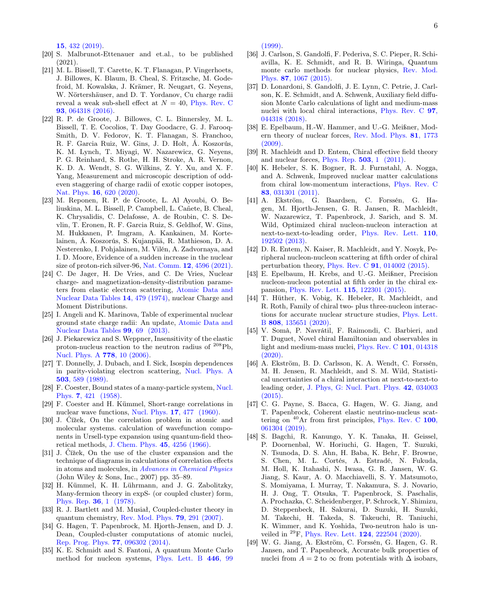15[, 432 \(2019\).](https://doi.org/10.1038/s41567-019-0416-9)

- <span id="page-5-0"></span>[20] S. Malbrunot-Ettenauer and et.al., to be published (2021).
- <span id="page-5-1"></span>[21] M. L. Bissell, T. Carette, K. T. Flanagan, P. Vingerhoets, J. Billowes, K. Blaum, B. Cheal, S. Fritzsche, M. Godefroid, M. Kowalska, J. Krämer, R. Neugart, G. Neyens, W. Nörtershäuser, and D. T. Yordanov, Cu charge radii reveal a weak sub-shell effect at  $N = 40$ , [Phys. Rev. C](https://doi.org/10.1103/PhysRevC.93.064318) 93[, 064318 \(2016\).](https://doi.org/10.1103/PhysRevC.93.064318)
- <span id="page-5-2"></span>[22] R. P. de Groote, J. Billowes, C. L. Binnersley, M. L. Bissell, T. E. Cocolios, T. Day Goodacre, G. J. Farooq-Smith, D. V. Fedorov, K. T. Flanagan, S. Franchoo, R. F. Garcia Ruiz, W. Gins, J. D. Holt, Á. Koszorús, K. M. Lynch, T. Miyagi, W. Nazarewicz, G. Neyens, P. G. Reinhard, S. Rothe, H. H. Stroke, A. R. Vernon, K. D. A. Wendt, S. G. Wilkins, Z. Y. Xu, and X. F. Yang, Measurement and microscopic description of oddeven staggering of charge radii of exotic copper isotopes, Nat. Phys. 16[, 620 \(2020\).](https://doi.org/10.1038/s41567-020-0868-y)
- <span id="page-5-3"></span>[23] M. Reponen, R. P. de Groote, L. Al Ayoubi, O. Beliuskina, M. L. Bissell, P. Campbell, L. Cañete, B. Cheal, K. Chrysalidis, C. Delafosse, A. de Roubin, C. S. Devlin, T. Eronen, R. F. Garcia Ruiz, S. Geldhof, W. Gins, M. Hukkanen, P. Imgram, A. Kankainen, M. Kortelainen, Á. Koszorús, S. Kujanpää, R. Mathieson, D. A. Nesterenko, I. Pohjalainen, M. Vilén, A. Zadvornaya, and I. D. Moore, Evidence of a sudden increase in the nuclear size of proton-rich silver-96, Nat. Comm. 12[, 4596 \(2021\).](https://doi.org/10.1038/s41467-021-24888-x)
- <span id="page-5-4"></span>[24] C. De Jager, H. De Vries, and C. De Vries, Nuclear charge- and magnetization-density-distribution parameters from elastic electron scattering, [Atomic Data and](https://doi.org/https://doi.org/10.1016/S0092-640X(74)80002-1) [Nuclear Data Tables](https://doi.org/https://doi.org/10.1016/S0092-640X(74)80002-1) 14, 479 (1974), nuclear Charge and Moment Distributions.
- <span id="page-5-5"></span>[25] I. Angeli and K. Marinova, Table of experimental nuclear ground state charge radii: An update, [Atomic Data and](https://doi.org/10.1016/j.adt.2011.12.006) [Nuclear Data Tables](https://doi.org/10.1016/j.adt.2011.12.006) 99, 69 (2013).
- <span id="page-5-6"></span>[26] J. Piekarewicz and S. Weppner, Insensitivity of the elastic proton-nucleus reaction to the neutron radius of  $^{208}Pb$ , [Nucl. Phys. A](https://doi.org/https://doi.org/10.1016/j.nuclphysa.2006.08.004) 778, 10 (2006).
- <span id="page-5-7"></span>[27] T. Donnelly, J. Dubach, and I. Sick, Isospin dependences in parity-violating electron scattering, [Nucl. Phys. A](https://doi.org/https://doi.org/10.1016/0375-9474(89)90432-6) 503[, 589 \(1989\).](https://doi.org/https://doi.org/10.1016/0375-9474(89)90432-6)
- <span id="page-5-8"></span>[28] F. Coester, Bound states of a many-particle system, [Nucl.](https://doi.org/10.1016/0029-5582(58)90280-3) Phys. 7[, 421 \(1958\).](https://doi.org/10.1016/0029-5582(58)90280-3)
- [29] F. Coester and H. Kümmel, Short-range correlations in nuclear wave functions, Nucl. Phys. **17**[, 477 \(1960\).](https://doi.org/10.1016/0029-5582(60)90140-1)
- [30] J. Čížek, On the correlation problem in atomic and molecular systems. calculation of wavefunction components in Ursell-type expansion using quantum-field theoretical methods, [J. Chem. Phys.](https://doi.org/10.1063/1.1727484) 45, 4256 (1966).
- [31] J. Čížek, On the use of the cluster expansion and the technique of diagrams in calculations of correlation effects in atoms and molecules, in [Advances in Chemical Physics](https://doi.org/10.1002/9780470143599.ch2) (John Wiley & Sons, Inc., 2007) pp. 35–89.
- [32] H. Kümmel, K. H. Lührmann, and J. G. Zabolitzky, Many-fermion theory in expS- (or coupled cluster) form, [Phys. Rep.](https://doi.org/10.1016/0370-1573(78)90081-9) 36, 1 (1978).
- <span id="page-5-17"></span>[33] R. J. Bartlett and M. Musiał, Coupled-cluster theory in quantum chemistry, [Rev. Mod. Phys.](https://doi.org/10.1103/RevModPhys.79.291) 79, 291 (2007).
- <span id="page-5-9"></span>[34] G. Hagen, T. Papenbrock, M. Hjorth-Jensen, and D. J. Dean, Coupled-cluster computations of atomic nuclei, [Rep. Prog. Phys.](https://doi.org/10.1088/0034-4885/77/9/096302) 77, 096302 (2014).
- <span id="page-5-10"></span>[35] K. E. Schmidt and S. Fantoni, A quantum Monte Carlo method for nucleon systems, [Phys. Lett. B](https://doi.org/10.1016/S0370-2693(98)01522-6) 446, 99

 $(1999)$ .

- [36] J. Carlson, S. Gandolfi, F. Pederiva, S. C. Pieper, R. Schiavilla, K. E. Schmidt, and R. B. Wiringa, Quantum monte carlo methods for nuclear physics, [Rev. Mod.](https://doi.org/10.1103/RevModPhys.87.1067) Phys. 87[, 1067 \(2015\).](https://doi.org/10.1103/RevModPhys.87.1067)
- <span id="page-5-11"></span>[37] D. Lonardoni, S. Gandolfi, J. E. Lynn, C. Petrie, J. Carlson, K. E. Schmidt, and A. Schwenk, Auxiliary field diffusion Monte Carlo calculations of light and medium-mass nuclei with local chiral interactions, [Phys. Rev. C](https://doi.org/10.1103/PhysRevC.97.044318) 97, [044318 \(2018\).](https://doi.org/10.1103/PhysRevC.97.044318)
- <span id="page-5-12"></span>[38] E. Epelbaum, H.-W. Hammer, and U.-G. Meißner, Modern theory of nuclear forces, [Rev. Mod. Phys.](https://doi.org/10.1103/RevModPhys.81.1773) 81, 1773 [\(2009\).](https://doi.org/10.1103/RevModPhys.81.1773)
- [39] R. Machleidt and D. Entem, Chiral effective field theory and nuclear forces, [Phys. Rep.](https://doi.org/10.1016/j.physrep.2011.02.001) 503, 1 (2011).
- [40] K. Hebeler, S. K. Bogner, R. J. Furnstahl, A. Nogga, and A. Schwenk, Improved nuclear matter calculations from chiral low-momentum interactions, [Phys. Rev. C](https://doi.org/10.1103/PhysRevC.83.031301) 83[, 031301 \(2011\).](https://doi.org/10.1103/PhysRevC.83.031301)
- [41] A. Ekström, G. Baardsen, C. Forssén, G. Hagen, M. Hjorth-Jensen, G. R. Jansen, R. Machleidt, W. Nazarewicz, T. Papenbrock, J. Sarich, and S. M. Wild, Optimized chiral nucleon-nucleon interaction at next-to-next-to-leading order, [Phys. Rev. Lett.](https://doi.org/10.1103/PhysRevLett.110.192502) 110, [192502 \(2013\).](https://doi.org/10.1103/PhysRevLett.110.192502)
- [42] D. R. Entem, N. Kaiser, R. Machleidt, and Y. Nosyk, Peripheral nucleon-nucleon scattering at fifth order of chiral perturbation theory, Phys. Rev. C 91[, 014002 \(2015\).](https://doi.org/10.1103/PhysRevC.91.014002)
- [43] E. Epelbaum, H. Krebs, and U.-G. Meißner, Precision nucleon-nucleon potential at fifth order in the chiral expansion, [Phys. Rev. Lett.](https://doi.org/10.1103/PhysRevLett.115.122301) 115, 122301 (2015).
- [44] T. Hüther, K. Vobig, K. Hebeler, R. Machleidt, and R. Roth, Family of chiral two- plus three-nucleon interactions for accurate nuclear structure studies, [Phys. Lett.](https://doi.org/https://doi.org/10.1016/j.physletb.2020.135651) B 808[, 135651 \(2020\).](https://doi.org/https://doi.org/10.1016/j.physletb.2020.135651)
- <span id="page-5-13"></span>[45] V. Somà, P. Navrátil, F. Raimondi, C. Barbieri, and T. Duguet, Novel chiral Hamiltonian and observables in light and medium-mass nuclei, [Phys. Rev. C](https://doi.org/10.1103/PhysRevC.101.014318) 101, 014318  $(2020)$ .
- <span id="page-5-14"></span>[46] A. Ekström, B. D. Carlsson, K. A. Wendt, C. Forssén, M. H. Jensen, R. Machleidt, and S. M. Wild, Statistical uncertainties of a chiral interaction at next-to-next-to leading order, [J. Phys, G: Nucl. Part. Phys.](https://doi.org/10.1088/0954-3899/42/3/034003) 42, 034003 [\(2015\).](https://doi.org/10.1088/0954-3899/42/3/034003)
- <span id="page-5-15"></span>[47] C. G. Payne, S. Bacca, G. Hagen, W. G. Jiang, and T. Papenbrock, Coherent elastic neutrino-nucleus scattering on  $^{40}$ Ar from first principles, [Phys. Rev. C](https://doi.org/10.1103/PhysRevC.100.061304) 100, [061304 \(2019\).](https://doi.org/10.1103/PhysRevC.100.061304)
- [48] S. Bagchi, R. Kanungo, Y. K. Tanaka, H. Geissel, P. Doornenbal, W. Horiuchi, G. Hagen, T. Suzuki, N. Tsunoda, D. S. Ahn, H. Baba, K. Behr, F. Browne, S. Chen, M. L. Cortés, A. Estradé, N. Fukuda, M. Holl, K. Itahashi, N. Iwasa, G. R. Jansen, W. G. Jiang, S. Kaur, A. O. Macchiavelli, S. Y. Matsumoto, S. Momiyama, I. Murray, T. Nakamura, S. J. Novario, H. J. Ong, T. Otsuka, T. Papenbrock, S. Paschalis, A. Prochazka, C. Scheidenberger, P. Schrock, Y. Shimizu, D. Steppenbeck, H. Sakurai, D. Suzuki, H. Suzuki, M. Takechi, H. Takeda, S. Takeuchi, R. Taniuchi, K. Wimmer, and K. Yoshida, Two-neutron halo is unveiled in <sup>29</sup>F, [Phys. Rev. Lett.](https://doi.org/10.1103/PhysRevLett.124.222504) 124, 222504 (2020).
- <span id="page-5-16"></span>[49] W. G. Jiang, A. Ekström, C. Forssén, G. Hagen, G. R. Jansen, and T. Papenbrock, Accurate bulk properties of nuclei from  $A = 2$  to  $\infty$  from potentials with  $\Delta$  isobars,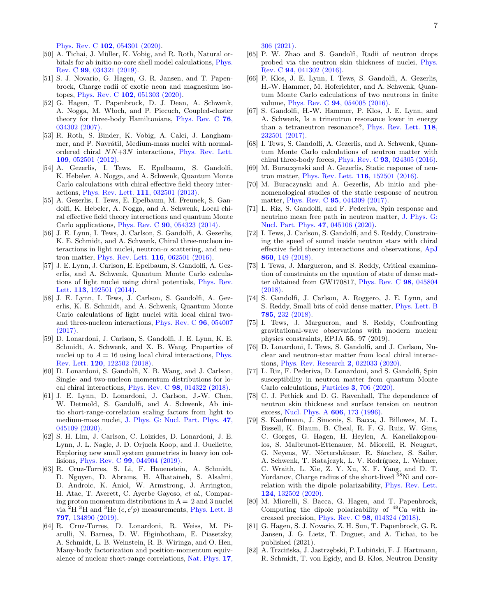Phys. Rev. C 102[, 054301 \(2020\).](https://doi.org/10.1103/PhysRevC.102.054301)

- <span id="page-6-0"></span>[50] A. Tichai, J. Müller, K. Vobig, and R. Roth, Natural orbitals for ab initio no-core shell model calculations, [Phys.](https://doi.org/10.1103/PhysRevC.99.034321) Rev. C 99[, 034321 \(2019\).](https://doi.org/10.1103/PhysRevC.99.034321)
- <span id="page-6-1"></span>[51] S. J. Novario, G. Hagen, G. R. Jansen, and T. Papenbrock, Charge radii of exotic neon and magnesium isotopes, Phys. Rev. C 102[, 051303 \(2020\).](https://doi.org/10.1103/PhysRevC.102.051303)
- <span id="page-6-2"></span>[52] G. Hagen, T. Papenbrock, D. J. Dean, A. Schwenk, A. Nogga, M. Włoch, and P. Piecuch, Coupled-cluster theory for three-body Hamiltonians, [Phys. Rev. C](https://doi.org/10.1103/PhysRevC.76.034302) 76, [034302 \(2007\).](https://doi.org/10.1103/PhysRevC.76.034302)
- <span id="page-6-3"></span>[53] R. Roth, S. Binder, K. Vobig, A. Calci, J. Langhammer, and P. Navrátil, Medium-mass nuclei with normalordered chiral NN+3N interactions, [Phys. Rev. Lett.](https://doi.org/10.1103/PhysRevLett.109.052501) 109[, 052501 \(2012\).](https://doi.org/10.1103/PhysRevLett.109.052501)
- <span id="page-6-4"></span>[54] A. Gezerlis, I. Tews, E. Epelbaum, S. Gandolfi, K. Hebeler, A. Nogga, and A. Schwenk, Quantum Monte Carlo calculations with chiral effective field theory interactions, [Phys. Rev. Lett.](https://doi.org/10.1103/PhysRevLett.111.032501) 111, 032501 (2013).
- <span id="page-6-9"></span>[55] A. Gezerlis, I. Tews, E. Epelbaum, M. Freunek, S. Gandolfi, K. Hebeler, A. Nogga, and A. Schwenk, Local chiral effective field theory interactions and quantum Monte Carlo applications, Phys. Rev. C 90[, 054323 \(2014\).](https://doi.org/10.1103/PhysRevC.90.054323)
- <span id="page-6-5"></span>[56] J. E. Lynn, I. Tews, J. Carlson, S. Gandolfi, A. Gezerlis, K. E. Schmidt, and A. Schwenk, Chiral three-nucleon interactions in light nuclei, neutron- $\alpha$  scattering, and neutron matter, [Phys. Rev. Lett.](https://doi.org/10.1103/PhysRevLett.116.062501) 116, 062501 (2016).
- [57] J. E. Lynn, J. Carlson, E. Epelbaum, S. Gandolfi, A. Gezerlis, and A. Schwenk, Quantum Monte Carlo calculations of light nuclei using chiral potentials, [Phys. Rev.](https://doi.org/10.1103/PhysRevLett.113.192501) Lett. 113[, 192501 \(2014\).](https://doi.org/10.1103/PhysRevLett.113.192501)
- [58] J. E. Lynn, I. Tews, J. Carlson, S. Gandolfi, A. Gezerlis, K. E. Schmidt, and A. Schwenk, Quantum Monte Carlo calculations of light nuclei with local chiral twoand three-nucleon interactions, [Phys. Rev. C](https://doi.org/10.1103/PhysRevC.96.054007) 96, 054007 [\(2017\).](https://doi.org/10.1103/PhysRevC.96.054007)
- [59] D. Lonardoni, J. Carlson, S. Gandolfi, J. E. Lynn, K. E. Schmidt, A. Schwenk, and X. B. Wang, Properties of nuclei up to  $A = 16$  using local chiral interactions, [Phys.](https://doi.org/10.1103/PhysRevLett.120.122502) Rev. Lett. 120[, 122502 \(2018\).](https://doi.org/10.1103/PhysRevLett.120.122502)
- [60] D. Lonardoni, S. Gandolfi, X. B. Wang, and J. Carlson, Single- and two-nucleon momentum distributions for local chiral interactions, Phys. Rev. C 98[, 014322 \(2018\).](https://doi.org/10.1103/PhysRevC.98.014322)
- [61] J. E. Lynn, D. Lonardoni, J. Carlson, J.-W. Chen, W. Detmold, S. Gandolfi, and A. Schwenk, Ab initio short-range-correlation scaling factors from light to medium-mass nuclei, [J. Phys. G: Nucl. Part. Phys.](https://doi.org/10.1088/1361-6471/ab6af7) 47, [045109 \(2020\).](https://doi.org/10.1088/1361-6471/ab6af7)
- [62] S. H. Lim, J. Carlson, C. Loizides, D. Lonardoni, J. E. Lynn, J. L. Nagle, J. D. Orjuela Koop, and J. Ouellette, Exploring new small system geometries in heavy ion collisions, Phys. Rev. C 99[, 044904 \(2019\).](https://doi.org/10.1103/PhysRevC.99.044904)
- [63] R. Cruz-Torres, S. Li, F. Hauenstein, A. Schmidt, D. Nguyen, D. Abrams, H. Albataineh, S. Alsalmi, D. Androic, K. Aniol, W. Armstrong, J. Arrington, H. Atac, T. Averett, C. Ayerbe Gayoso, et al., Comparing proton momentum distributions in  $A = 2$  and 3 nuclei via  ${}^{2}H$  <sup>3</sup>H and <sup>3</sup>He (e, e'p) measurements, [Phys. Lett. B](https://doi.org/https://doi.org/10.1016/j.physletb.2019.134890) 797[, 134890 \(2019\).](https://doi.org/https://doi.org/10.1016/j.physletb.2019.134890)
- <span id="page-6-6"></span>[64] R. Cruz-Torres, D. Lonardoni, R. Weiss, M. Piarulli, N. Barnea, D. W. Higinbotham, E. Piasetzky, A. Schmidt, L. B. Weinstein, R. B. Wiringa, and O. Hen, Many-body factorization and position-momentum equivalence of nuclear short-range correlations, [Nat. Phys.](https://doi.org/10.1038/s41567-020-01053-7) 17,

[306 \(2021\).](https://doi.org/10.1038/s41567-020-01053-7)

- <span id="page-6-7"></span>[65] P. W. Zhao and S. Gandolfi, Radii of neutron drops probed via the neutron skin thickness of nuclei, [Phys.](https://doi.org/10.1103/PhysRevC.94.041302) Rev. C 94[, 041302 \(2016\).](https://doi.org/10.1103/PhysRevC.94.041302)
- [66] P. Klos, J. E. Lynn, I. Tews, S. Gandolfi, A. Gezerlis, H.-W. Hammer, M. Hoferichter, and A. Schwenk, Quantum Monte Carlo calculations of two neutrons in finite volume, Phys. Rev. C 94[, 054005 \(2016\).](https://doi.org/10.1103/PhysRevC.94.054005)
- <span id="page-6-8"></span>[67] S. Gandolfi, H.-W. Hammer, P. Klos, J. E. Lynn, and A. Schwenk, Is a trineutron resonance lower in energy than a tetraneutron resonance?, [Phys. Rev. Lett.](https://doi.org/10.1103/PhysRevLett.118.232501) 118, [232501 \(2017\).](https://doi.org/10.1103/PhysRevLett.118.232501)
- <span id="page-6-10"></span>[68] I. Tews, S. Gandolfi, A. Gezerlis, and A. Schwenk, Quantum Monte Carlo calculations of neutron matter with chiral three-body forces, Phys. Rev. C  $93$ ,  $024305$   $(2016)$ .
- [69] M. Buraczynski and A. Gezerlis, Static response of neutron matter, [Phys. Rev. Lett.](https://doi.org/10.1103/PhysRevLett.116.152501) 116, 152501 (2016).
- [70] M. Buraczynski and A. Gezerlis, Ab initio and phenomenological studies of the static response of neutron matter, Phys. Rev. C 95[, 044309 \(2017\).](https://doi.org/10.1103/PhysRevC.95.044309)
- [71] L. Riz, S. Gandolfi, and F. Pederiva, Spin response and neutrino mean free path in neutron matter, [J. Phys. G:](https://doi.org/10.1088/1361-6471/ab6520) [Nucl. Part. Phys.](https://doi.org/10.1088/1361-6471/ab6520) 47, 045106 (2020).
- [72] I. Tews, J. Carlson, S. Gandolfi, and S. Reddy, Constraining the speed of sound inside neutron stars with chiral effective field theory interactions and observations, [ApJ](https://doi.org/10.3847/1538-4357/aac267) 860[, 149 \(2018\).](https://doi.org/10.3847/1538-4357/aac267)
- [73] I. Tews, J. Margueron, and S. Reddy, Critical examination of constraints on the equation of state of dense matter obtained from GW170817, [Phys. Rev. C](https://doi.org/10.1103/PhysRevC.98.045804) 98, 045804 [\(2018\).](https://doi.org/10.1103/PhysRevC.98.045804)
- [74] S. Gandolfi, J. Carlson, A. Roggero, J. E. Lynn, and S. Reddy, Small bits of cold dense matter, [Phys. Lett. B](https://doi.org/https://doi.org/10.1016/j.physletb.2018.07.073) 785[, 232 \(2018\).](https://doi.org/https://doi.org/10.1016/j.physletb.2018.07.073)
- [75] I. Tews, J. Margueron, and S. Reddy, Confronting gravitational-wave observations with modern nuclear physics constraints, EPJA 55, 97 (2019).
- <span id="page-6-17"></span>[76] D. Lonardoni, I. Tews, S. Gandolfi, and J. Carlson, Nuclear and neutron-star matter from local chiral interactions, [Phys. Rev. Research](https://doi.org/10.1103/PhysRevResearch.2.022033) 2, 022033 (2020).
- <span id="page-6-11"></span>[77] L. Riz, F. Pederiva, D. Lonardoni, and S. Gandolfi, Spin susceptibility in neutron matter from quantum Monte Carlo calculations, Particles 3[, 706 \(2020\).](https://doi.org/10.3390/particles3040046)
- <span id="page-6-12"></span>[78] C. J. Pethick and D. G. Ravenhall, The dependence of neutron skin thickness and surface tension on neutron excess, [Nucl. Phys. A](https://doi.org/https://doi.org/10.1016/0375-9474(96)00216-3) 606, 173 (1996).
- <span id="page-6-13"></span>[79] S. Kaufmann, J. Simonis, S. Bacca, J. Billowes, M. L. Bissell, K. Blaum, B. Cheal, R. F. G. Ruiz, W. Gins, C. Gorges, G. Hagen, H. Heylen, A. Kanellakopoulos, S. Malbrunot-Ettenauer, M. Miorelli, R. Neugart, G. Neyens, W. Nörtershäuser, R. Sánchez, S. Sailer, A. Schwenk, T. Ratajczyk, L. V. Rodríguez, L. Wehner, C. Wraith, L. Xie, Z. Y. Xu, X. F. Yang, and D. T. Yordanov, Charge radius of the short-lived  $\frac{68}{68}$ Ni and correlation with the dipole polarizability, [Phys. Rev. Lett.](https://doi.org/10.1103/PhysRevLett.124.132502) 124[, 132502 \(2020\).](https://doi.org/10.1103/PhysRevLett.124.132502)
- <span id="page-6-14"></span>[80] M. Miorelli, S. Bacca, G. Hagen, and T. Papenbrock, Computing the dipole polarizability of  $^{48}$ Ca with increased precision, Phys. Rev. C 98[, 014324 \(2018\).](https://doi.org/10.1103/PhysRevC.98.014324)
- <span id="page-6-15"></span>[81] G. Hagen, S. J. Novario, Z. H. Sun, T. Papenbrock, G. R. Jansen, J. G. Lietz, T. Duguet, and A. Tichai, to be published (2021).
- <span id="page-6-16"></span>[82] A. Trzcińska, J. Jastrzębski, P. Lubiński, F. J. Hartmann, R. Schmidt, T. von Egidy, and B. Kłos, Neutron Density